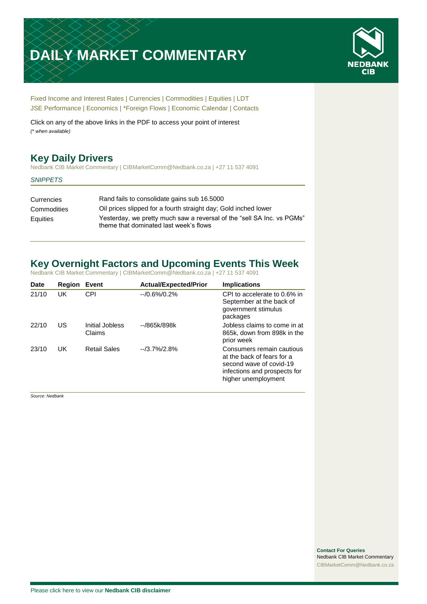# **DAILY MARKET COMMENTARY**



[Fixed Income and Interest Rates](#page-1-0) | [Currencies](#page-2-0) | [Commodities](#page-3-0) [| Equities](#page-4-0) | [LDT](#page-5-0) [JSE Performance](#page-6-0) [| Economics](#page-7-0) | [\\*Foreign Flows](#page-7-0) | [Economic Calendar](#page-8-0) | [Contacts](#page-9-0)

Click on any of the above links in the PDF to access your point of interest *(\* when available)*

# **Key Daily Drivers**

Nedbank CIB Market Commentary | CIBMarketComm@Nedbank.co.za | +27 11 537 4091

#### *SNIPPETS*

| Currencies  | Rand fails to consolidate gains sub 16.5000                                                                      |
|-------------|------------------------------------------------------------------------------------------------------------------|
| Commodities | Oil prices slipped for a fourth straight day; Gold inched lower                                                  |
| Equities    | Yesterday, we pretty much saw a reversal of the "sell SA Inc. vs PGMs"<br>theme that dominated last week's flows |

# **Key Overnight Factors and Upcoming Events This Week**

Nedbank CIB Market Commentary | CIBMarketComm@Nedbank.co.za | +27 11 537 4091

| <b>Date</b> | Region | Event                     | <b>Actual/Expected/Prior</b> | <b>Implications</b>                                                                                                                       |
|-------------|--------|---------------------------|------------------------------|-------------------------------------------------------------------------------------------------------------------------------------------|
| 21/10       | UK     | CPI                       | $-70.6\%/0.2\%$              | CPI to accelerate to 0.6% in<br>September at the back of<br>government stimulus<br>packages                                               |
| 22/10       | US     | Initial Jobless<br>Claims | --/865k/898k                 | Jobless claims to come in at<br>865k, down from 898k in the<br>prior week                                                                 |
| 23/10       | UK     | <b>Retail Sales</b>       | $-13.7\%/2.8\%$              | Consumers remain cautious<br>at the back of fears for a<br>second wave of covid-19<br>infections and prospects for<br>higher unemployment |

*Source: Nedbank*

**Contact For Queries** Nedbank CIB Market Commentary [CIBMarketComm@Nedbank.co.za](file:///C:/Users/Paul-Rose/AppData/Roaming/Bluecurve/templates/CIBMarketComm@Nedbank.co.za)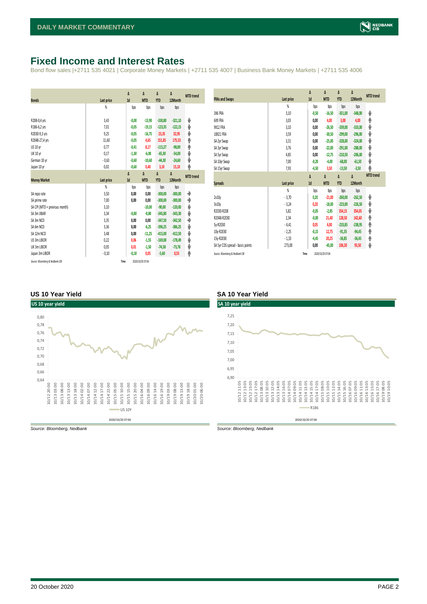# <span id="page-1-0"></span>**Fixed Income and Interest Rates**

Bond flow sales |+2711 535 4021 | Corporate Money Markets | +2711 535 4007 | Business Bank Money Markets | +2711 535 4006

| <b>Bonds</b>                  | <b>Last price</b> | Δ<br>1d | Δ<br><b>MTD</b> | Δ<br><b>YTD</b> | Δ<br>12Month | <b>MTD</b> trend |
|-------------------------------|-------------------|---------|-----------------|-----------------|--------------|------------------|
|                               | %                 | bps     | bps             | bps             | bps          |                  |
|                               |                   |         |                 |                 |              |                  |
| R208-0,4 yrs                  | 3,43              | $-0,00$ | $-13,90$        | $-330,80$       | $-321,10$    | ψ                |
| R186-6,2 yrs                  | 7.01              | $-0,05$ | $-19,15$        | $-123.35$       | $-122,15$    | ψ                |
| R2030-9,3 yrs                 | 9,25              | $-0,05$ | $-16,75$        | 23,35           | 32,95        | ψ                |
| R2048-27,4 yrs                | 11,60             | $-0,05$ | 4,65            | 151,85          | 175,55       | ۸                |
| US 10 yr                      | 0,77              | $-0,41$ | 8,17            | $-115,27$       | $-98,89$     | φ                |
| <b>UK 10 yr</b>               | 0,17              | $-1,30$ | $-6,00$         | $-65,30$        | $-54,00$     | ψ                |
| German 10 yr                  | $-0,63$           | $-0,60$ | $-10,60$        | $-44,30$        | $-24,60$     | ψ                |
| Japan 10 yr                   | 0,02              | $-0,60$ | 0,40            | 3,10            | 15,10        | ۸                |
|                               |                   | Δ       | Δ               | Δ               | Δ            | <b>MTD</b> trend |
|                               |                   |         |                 |                 |              |                  |
| <b>Money Market</b>           | <b>Last price</b> | 1d      | <b>MTD</b>      | <b>YTD</b>      | 12Month      |                  |
|                               | $\frac{9}{20}$    | bps     | bps             | bps             | bps          |                  |
| SA repo rate                  | 3,50              | 0,00    | 0,00            | $-300,00$       | $-300,00$    | ۰                |
| SA prime rate                 | 7,00              | 0,00    | 0,00            | $-300,00$       | $-300,00$    | ۰                |
| SA CPI (MTD = previous month) | 3,10              |         | $-10,00$        | $-90.00$        | $-120,00$    | ψ                |
| SA 3m JIBAR                   | 3,34              | $-0,80$ | $-0,80$         | $-345,80$       | $-343,30$    | ψ                |
| SA 3m NCD                     | 3,35              | 0,00    | 0,00            | $-347,50$       | $-342,50$    | ۰                |
| SA 6m NCD                     | 3,36              | 0,00    | $-6,25$         | $-396,25$       | $-386,25$    | ψ                |
| SA 12m NCD                    | 3,48              | 0,00    | $-11,25$        | $-415.00$       | $-412.50$    | ψ                |
| US 3m LIBOR                   | 0,22              | 0,06    | $-1,55$         | $-169,00$       | $-178,49$    | ψ                |
| UK 3m LIBOR                   | 0,05              | 0,01    | $-1,50$         | $-74,58$        | $-73,78$     | ψ                |
| Japan 3m LIBOR                | $-0,10$           | $-0.18$ | 0,05            | $-5,60$         | 0,55         | φ                |

| <b>FRAs and Swaps</b>            | Last price | Δ<br>1d | Δ<br><b>MTD</b> | Δ<br><b>YTD</b> | Δ<br>12Month | <b>MTD</b> trend |
|----------------------------------|------------|---------|-----------------|-----------------|--------------|------------------|
|                                  | %          | bps     | bps             | bps             | bps          |                  |
| 3X6 FRA                          | 3,10       | $-0,50$ | $-16,50$        | $-351,00$       | $-348,00$    | ψ                |
| 6X9 FRA                          | 3,03       | 0,00    | 4,00            | 3,00            | 4,00         | ۸                |
| <b>9X12 FRA</b>                  | 3,10       | 0,00    | $-26,50$        | $-339,00$       | $-333,00$    | ψ                |
| 18X21 FRA                        | 3,59       | 0,00    | $-30,50$        | $-299,00$       | $-296,00$    | ψ                |
| SA 2yr Swap                      | 3,31       | 0,00    | $-25,00$        | $-328,00$       | $-324,00$    | ψ                |
| SA 3yr Swap                      | 3,76       | 0,00    | $-22,00$        | $-291,00$       | $-288,00$    | ψ                |
| SA 5yr Swap                      | 4,85       | 0,00    | $-12,75$        | $-210,50$       | $-206.00$    | V                |
| SA 10yr Swap                     | 7,00       | $-0,20$ | $-4,00$         | $-68,00$        | $-61,50$     | ψ                |
| SA 15yr Swap                     | 7,93       | $-4,50$ | 3,50            | $-13,50$        | $-3,50$      | ۸                |
|                                  |            |         |                 |                 |              |                  |
|                                  |            | Δ       | Δ               | Δ               | Δ            | <b>MTD</b> trend |
| <b>Spreads</b>                   | Last price | 1d      | <b>MTD</b>      | <b>YTD</b>      | 12Month      |                  |
|                                  | %          | bps     | bps             | bps             | bps          |                  |
| 2v10v                            | $-3,70$    | 0,20    | $-21,00$        | $-260,00$       | $-262,50$    | ψ                |
| 3v10y                            | $-3,24$    | 0,20    | $-18,00$        | $-223,00$       | $-226,50$    | ψ                |
| R2030-R208                       | 5,82       | $-0,05$ | $-2,85$         | 354,15          | 354,05       | ψ                |
| R2048-R2030                      | 2,34       | $-0,00$ | 21,40           | 128,50          | 142,60       | ۸                |
| 5y-R2030                         | $-4,41$    | 0,05    | 4,00            | $-233,85$       | $-238,95$    | φ                |
| 10y-R2030                        | $-2,25$    | $-0,15$ | 12,75           | $-91,35$        | $-94,45$     | ۸                |
| 15y-R2030                        | $-1,33$    | $-4,45$ | 20,25           | $-36,85$        | $-36,45$     | φ                |
| SA 5yr CDS spread - basis points | 273,00     | 0,00    | $-45,00$        | 106,50          | 93,50        | ψ                |

#### **US 10 Year Yield SA 10 Year Yield**



*Source: Bloomberg, Nedbank Source: Bloomberg, Nedbank*

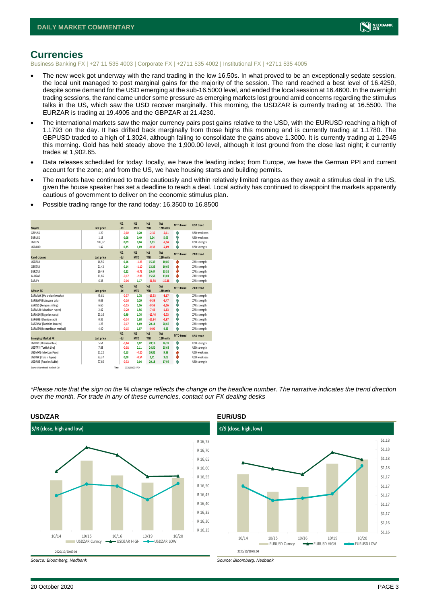

## <span id="page-2-0"></span>**Currencies**

Business Banking FX | +27 11 535 4003 | Corporate FX | +2711 535 4002 | Institutional FX | +2711 535 4005

- The new week got underway with the rand trading in the low 16.50s. In what proved to be an exceptionally sedate session, the local unit managed to post marginal gains for the majority of the session. The rand reached a best level of 16.4250, despite some demand for the USD emerging at the sub-16.5000 level, and ended the local session at 16.4600. In the overnight trading sessions, the rand came under some pressure as emerging markets lost ground amid concerns regarding the stimulus talks in the US, which saw the USD recover marginally. This morning, the USDZAR is currently trading at 16.5500. The EURZAR is trading at 19.4905 and the GBPZAR at 21.4230.
- The international markets saw the major currency pairs post gains relative to the USD, with the EURUSD reaching a high of 1.1793 on the day. It has drifted back marginally from those highs this morning and is currently trading at 1.1780. The GBPUSD traded to a high of 1.3024, although failing to consolidate the gains above 1.3000. It is currently trading at 1.2945 this morning. Gold has held steady above the 1,900.00 level, although it lost ground from the close last night; it currently trades at 1,902.65.
- Data releases scheduled for today: locally, we have the leading index; from Europe, we have the German PPI and current account for the zone; and from the US, we have housing starts and building permits.
- The markets have continued to trade cautiously and within relatively limited ranges as they await a stimulus deal in the US, given the house speaker has set a deadline to reach a deal. Local activity has continued to disappoint the markets apparently cautious of government to deliver on the economic stimulus plan.

| <b>Majors</b>                   | Last price | X <sub>A</sub><br>$-1d$ | X <sub>A</sub><br><b>MTD</b> | $% \Delta$<br><b>YTD</b>    | $% \Delta$<br>12Month  | <b>MTD</b> trend | <b>USD trend</b>    |
|---------------------------------|------------|-------------------------|------------------------------|-----------------------------|------------------------|------------------|---------------------|
| GBPUSD                          | 1.29       | $-0.02$                 | 0.20                         | $-2,35$                     | $-0,11$                | Φ                | <b>USD</b> weakness |
| <b>EURUSD</b>                   | 1,18       | 0.08                    | 0,49                         | 5,04                        | 5,63                   | Φ                | USD weakness        |
| <b>USDJPY</b>                   | 105.52     | 0.09                    | 0.04                         | 2,93                        | $-2,94$                | Φ                | USD strength        |
| <b>USDAUD</b>                   | 1,42       | 0,35                    | 1,69                         | $-0,38$                     | $-2,49$                | ٨                | USD strength        |
| <b>Rand crosses</b>             |            | X <sub>A</sub>          | X <sub>A</sub>               | $%$ $\Lambda$<br><b>YTD</b> | $% \Lambda$<br>12Month | <b>MTD</b> trend | ZAR trend           |
|                                 | Last price | $-1d$                   | <b>MTD</b>                   |                             |                        |                  |                     |
| <b>USDZAR</b>                   | 16,55      | 0.16                    | $-1,23$                      | 15,39                       | 10,80                  | ψ                | ZAR strength        |
| GBPZAR                          | 21,42      | 0.14                    | $-1,10$                      | 13,33                       | 10,69                  | ψ                | ZAR strength        |
| <b>EURZAR</b>                   | 19,49      | 0.22                    | $-0.71$                      | 19,44                       | 15,55                  | ψ                | ZAR strength        |
| AUDZAR                          | 11,65      | $-0.17$                 | $-2,96$                      | 15,56                       | 13,01                  | ψ                | ZAR strength        |
| ZARJPY                          | 6,38       | $-0,04$                 | 1,17                         | $-21,58$                    | $-15,36$               | ٨                | ZAR strength        |
|                                 |            | X <sub>A</sub>          | X <sub>A</sub>               | $%$ $\Lambda$               | $%$ $\Delta$           | <b>MTD</b> trend | ZAR trend           |
| <b>African FX</b>               | Last price | $-1d$                   | <b>MTD</b>                   | <b>YTD</b>                  | 12Month                |                  |                     |
| ZARMWK (Malawian kwacha)        | 45.61      | $-0.37$                 | 1.78                         | $-15.53$                    | $-8.67$                | Φ                | ZAR strength        |
| ZARBWP (Botswana pula)          | 0.69       | $-0,16$                 | 0.20                         | $-9,39$                     | $-6,47$                | Φ                | ZAR strength        |
| ZARKES (Kenyan shilling)        | 6,60       | $-0,15$                 | 1.56                         | $-9,58$                     | $-6,16$                | φ                | ZAR strength        |
| ZARMUR (Mauritian rupee)        | 2.42       | $-0.20$                 | 1.56                         | $-7.44$                     | $-1.63$                | Φ                | ZAR strength        |
| ZARNGN (Nigerian naira)         | 23,16      | 0.49                    | 1.76                         | $-12,46$                    | $-5,73$                | Φ                | ZAR strength        |
| ZARGHS (Ghanian cedi)           | 0,35       | $-0,14$                 | 1.68                         | $-15,84$                    | $-5,97$                | Φ                | ZAR strength        |
| ZARZMW (Zambian kwacha)         | 1.25       | $-0.17$                 | 4.69                         | 20,14                       | 28.66                  | Ŵ                | ZAR strength        |
| ZARMZN (Mozambican metical)     | 4,40       | $-0,15$                 | 1.97                         | $-0,00$                     | 4,23                   | ٨                | ZAR strength        |
|                                 |            | $\chi_{\Delta}$         | $\chi_{\Delta}$              | $% \Delta$                  | $% \Delta$             | <b>MTD</b> trend | <b>USD</b> trend    |
| <b>Emerging Market FX</b>       | Last price | $-1d$                   | <b>MTD</b>                   | <b>YTD</b>                  | 12Month                |                  |                     |
| <b>USDBRL (Brazilian Real)</b>  | 5,61       | $-0,64$                 | 0.02                         | 28,16                       | 26,39                  | ŵ                | USD strength        |
| USDTRY (Turkish Lira)           | 7.88       | $-0.02$                 | 2.11                         | 24,50                       | 25.68                  | Φ                | USD strength        |
| <b>USDMXN (Mexican Peso)</b>    | 21,22      | 0.13                    | $-4.20$                      | 10,82                       | 9,88                   | ψ                | <b>USD</b> weakness |
| <b>USDINR</b> (Indian Rupee)    | 73,37      | 0,00                    | $-0,54$                      | 2,71                        | 3,03                   | ψ                | USD weakness        |
| <b>USDRUB (Russian Ruble)</b>   | 77.66      | $-0.32$                 | 0.04                         | 20,18                       | 17,94                  | Ŵ                | USD strength        |
| Source: Bloomberg & Nedbank CIB | Time       |                         | 2020/10/20 07:04             |                             |                        |                  |                     |

• Possible trading range for the rand today: 16.3500 to 16.8500

*\*Please note that the sign on the % change reflects the change on the headline number. The narrative indicates the trend direction over the month. For trade in any of these currencies, contact our FX dealing desks*





*Source: Bloomberg, Nedbank Source: Bloomberg, Nedbank*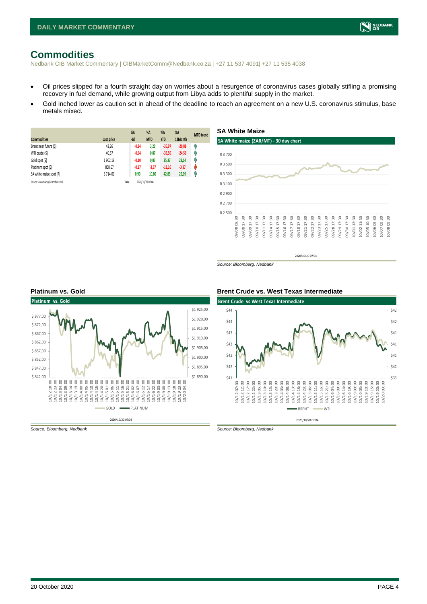# <span id="page-3-0"></span>**Commodities**

Nedbank CIB Market Commentary | CIBMarketComm@Nedbank.co.za | +27 11 537 4091| +27 11 535 4038

- Oil prices slipped for a fourth straight day on worries about a resurgence of coronavirus cases globally stifling a promising recovery in fuel demand, while growing output from Libya adds to plentiful supply in the market.
- Gold inched lower as caution set in ahead of the deadline to reach an agreement on a new U.S. coronavirus stimulus, base metals mixed.

| <b>Commodities</b>              | Last price | $%$ $\Delta$<br>$-1d$ | %Δ<br><b>MTD</b> | $%$ $\Delta$<br><b>YTD</b> | $\%$ $\Delta$<br>12Month | <b>MTD</b> trend |
|---------------------------------|------------|-----------------------|------------------|----------------------------|--------------------------|------------------|
| Brent near future (\$)          | 42,26      | $-0,84$               | 3,20             | $-35,97$                   | $-28,88$                 | Ŵ                |
| WTI crude (\$)                  | 40,57      | $-0,64$               | 0,87             | $-33,56$                   | $-24,56$                 | Ģ                |
| Gold spot (\$)                  | 1 902.19   | $-0,10$               | 0,87             | 25,37                      | 28,14                    | Ŵ                |
| Platinum spot (\$)              | 858,67     | $-0,17$               | $-3,87$          | $-11,16$                   | $-3,37$                  | U                |
| SA white maize spot (R)         | 3714.00    | 0,90                  | 10,80            | 42,85                      | 25,09                    | Ĥ                |
| Source: Bloomberg & Nedbank CIB |            | Time                  | 2020/10/20 07:04 |                            |                          |                  |



*Source: Bloomberg, Nedbank*



#### **Platinum vs. Gold Brent Crude vs. West Texas Intermediate**



*Source: Bloomberg, Nedbank Source: Bloomberg, Nedbank*

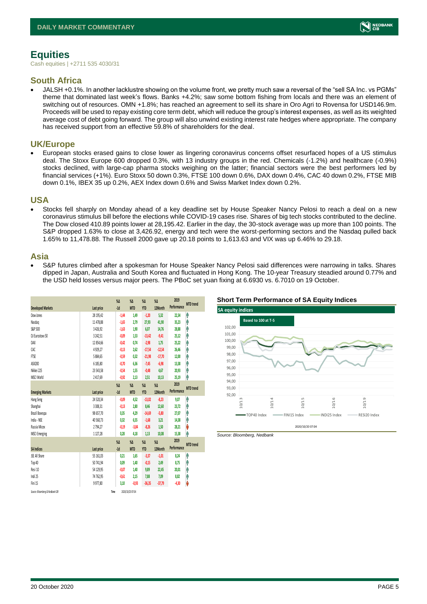# <span id="page-4-0"></span>**Equities**

Cash equities | +2711 535 4030/31

### **South Africa**

• JALSH +0.1%. In another lacklustre showing on the volume front, we pretty much saw a reversal of the "sell SA Inc. vs PGMs" theme that dominated last week's flows. Banks +4.2%; saw some bottom fishing from locals and there was an element of switching out of resources. OMN +1.8%; has reached an agreement to sell its share in Oro Agri to Rovensa for USD146.9m. Proceeds will be used to repay existing core term debt, which will reduce the group's interest expenses, as well as its weighted average cost of debt going forward. The group will also unwind existing interest rate hedges where appropriate. The company has received support from an effective 59.8% of shareholders for the deal.

### **UK/Europe**

• European stocks erased gains to close lower as lingering coronavirus concerns offset resurfaced hopes of a US stimulus deal. The Stoxx Europe 600 dropped 0.3%, with 13 industry groups in the red. Chemicals (-1.2%) and healthcare (-0.9%) stocks declined, with large-cap pharma stocks weighing on the latter; financial sectors were the best performers led by financial services (+1%). Euro Stoxx 50 down 0.3%, FTSE 100 down 0.6%, DAX down 0.4%, CAC 40 down 0.2%, FTSE MIB down 0.1%, IBEX 35 up 0.2%, AEX Index down 0.6% and Swiss Market Index down 0.2%.

### **USA**

• Stocks fell sharply on Monday ahead of a key deadline set by House Speaker Nancy Pelosi to reach a deal on a new coronavirus stimulus bill before the elections while COVID-19 cases rise. Shares of big tech stocks contributed to the decline. The Dow closed 410.89 points lower at 28,195.42. Earlier in the day, the 30-stock average was up more than 100 points. The S&P dropped 1.63% to close at 3,426.92, energy and tech were the worst-performing sectors and the Nasdaq pulled back 1.65% to 11,478.88. The Russell 2000 gave up 20.18 points to 1,613.63 and VIX was up 6.46% to 29.18.

### **Asia**

• S&P futures climbed after a spokesman for House Speaker Nancy Pelosi said differences were narrowing in talks. Shares dipped in Japan, Australia and South Korea and fluctuated in Hong Kong. The 10-year Treasury steadied around 0.77% and the USD held losses versus major peers. The PBoC set yuan fixing at 6.6930 vs. 6.7010 on 19 October.

|                                 |               | $\%$ $\Delta$ | $\%$ $\Delta$    | $\%$ $\Delta$ | $\%$ $\Delta$ | 2019        | <b>MTD</b> trend |
|---------------------------------|---------------|---------------|------------------|---------------|---------------|-------------|------------------|
| <b>Developed Markets</b>        | Last price    | $-1d$         | <b>MTD</b>       | <b>YTD</b>    | 12Month       | Performance |                  |
| Dow Jones                       | 28 195,42     | $-1,44$       | 1,49             | $-1,20$       | 5,32          | 22,34       | ٨                |
| Nasdaq                          | 11 478,88     | $-1,65$       | 2,79             | 27,93         | 41,90         | 35,23       | Λ                |
| S&P 500                         | 3 4 26, 92    | $-1,63$       | 1,90             | 6,07          | 14,76         | 28,88       | ٨                |
| DJ Eurostoxx 50                 | 3 2 4 2 .5 1  | $-0.09$       | 1.53             | $-13,42$      | $-9,41$       | 25,12       | ٨                |
| DAX                             | 12 854,66     | $-0.42$       | 0,74             | $-2,98$       | 1,75          | 25,22       | A                |
| CAC                             | 4929.27       | $-0.13$       | 2.62             | $-17,54$      | $-12,54$      | 26,46       | Α                |
| FTSE                            | 5 884,65      | $-0.59$       | 0.32             | $-21,98$      | $-17,70$      | 12,00       | ٨                |
| ASX200                          | 6 185,80      | $-0.70$       | 6.36             | $-7,45$       | $-6,98$       | 13,38       | Α                |
| Nikkei 225                      | 23 543.58     | $-0.54$       | 1,55             | $-0,48$       | 4,67          | 20,93       | A                |
| MSCI World                      | 2417.69       | $-0.92$       | 2.13             | 2,51          | 10,13         | 25,19       | ٨                |
|                                 |               | $\%$ $\Delta$ | $\%$ $\Delta$    | $\%$ $\Delta$ | $\%$ $\Delta$ | 2019        |                  |
| <b>Emerging Markets</b>         | Last price    | $-1d$         | <b>MTD</b>       | <b>YTD</b>    | 12Month       | Performance | <b>MTD</b> trend |
| Hang Seng                       | 24 520,34     | $-0.09$       | 4,52             | $-13,02$      | $-8,23$       | 9,07        | ٨                |
| Shanghai                        | 3 3 0 8 . 3 1 | $-0.13$       | 2.80             | 8,46          | 12,60         | 23,72       | Λ                |
| Brazil Bovespa                  | 98 657.70     | 0.35          | 4.29             | $-14,69$      | $-5,80$       | 27.07       | Λ                |
| India - NSE                     | 40 560,73     | 0,32          | 6,55             | $-1,68$       | 3,21          | 14,38       | ٨                |
| Russia Micex                    | 2794,27       | $-0.19$       | $-3,84$          | $-8,26$       | 1,50          | 28,21       | V                |
| <b>MSCI Emerging</b>            | 1127,28       | 0,28          | 4,18             | 1,13          | 10,08         | 15,38       | ٨                |
|                                 |               | $\%$ $\Delta$ | $\%$ $\Delta$    | $\%$ $\Delta$ | $\%$ $\Delta$ | 2019        | <b>MTD</b> trend |
| <b>SA Indices</b>               | Last price    | $-1d$         | <b>MTD</b>       | <b>YTD</b>    | 12Month       | Performance |                  |
| JSE All Share                   | 55 161,03     | 0,21          | 1.65             | $-3,37$       | $-1,01$       | 8,24        | ł                |
| Top 40                          | 50 741,94     | 0,09          | 1,40             | $-0,15$       | 2,49          | 8,75        | A                |
| Resi 10                         | 54 129,95     | $-0.07$       | 1.40             | 9,89          | 22,45         | 20,01       | Α                |
| Indi 25                         | 74 762,95     | $-0.61$       | 2,15             | 7,88          | 7,09          | 8,82        | Ą                |
| Fini 15                         | 9977.80       | 3,10          | $-0.93$          | $-36,35$      | $-37,79$      | $-4,30$     | V                |
| Source: Bloomberg & Nedbank CIB | Time          |               | 2020/10/20 07:04 |               |               |             |                  |

#### **Short Term Performance of SA Equity Indices**



*Source: Bloomberg, Nedbank*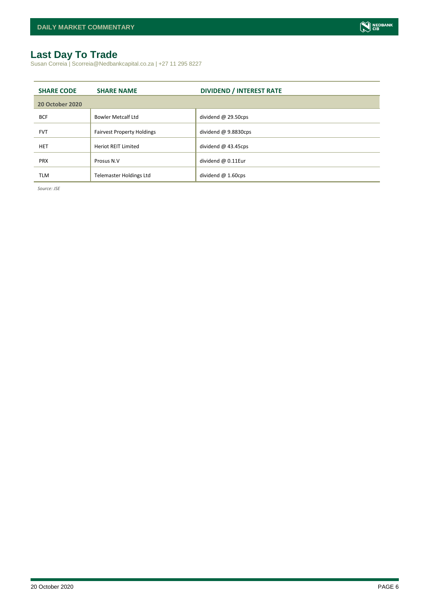

# <span id="page-5-0"></span>**Last Day To Trade**

Susan Correia | Scorreia@Nedbankcapital.co.za | +27 11 295 8227

| <b>SHARE CODE</b>      | <b>SHARE NAME</b>                 | <b>DIVIDEND / INTEREST RATE</b> |
|------------------------|-----------------------------------|---------------------------------|
| <b>20 October 2020</b> |                                   |                                 |
| <b>BCF</b>             | <b>Bowler Metcalf Ltd</b>         | dividend $@$ 29.50cps           |
| <b>FVT</b>             | <b>Fairvest Property Holdings</b> | dividend $@9.8830cps$           |
| <b>HET</b>             | <b>Heriot REIT Limited</b>        | dividend $@$ 43.45cps           |
| <b>PRX</b>             | Prosus N.V                        | dividend @ 0.11Eur              |
| <b>TLM</b>             | <b>Telemaster Holdings Ltd</b>    | dividend $@1.60 \text{cps}$     |

*Source: JSE*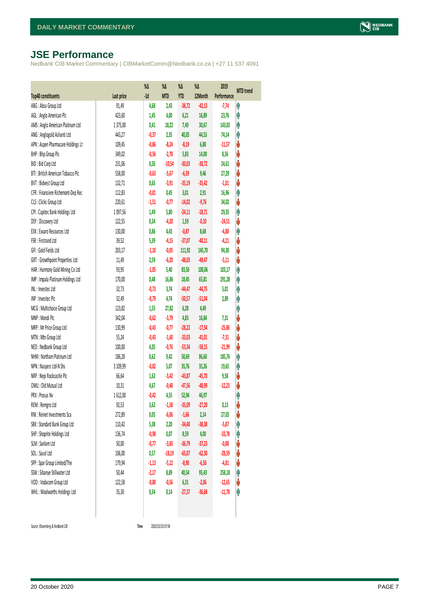# <span id="page-6-0"></span>**JSE Performance**

Nedbank CIB Market Commentary | CIBMarketComm@Nedbank.co.za | +27 11 537 4091

|                                    |            | %Δ      | %Δ         | %Δ         | %Δ       | 2019        | <b>MTD</b> trend |
|------------------------------------|------------|---------|------------|------------|----------|-------------|------------------|
| <b>Top40 constituents</b>          | Last price | $-1d$   | <b>MTD</b> | <b>YTD</b> | 12Month  | Performance |                  |
| ABG: Absa Group Ltd                | 91,49      | 4,68    | 2,43       | $-38,72$   | $-42,13$ | $-7,74$     | φ                |
| AGL: Anglo American Plc            | 423,60     | 1,45    | 4,00       | 6,21       | 16,89    | 23,76       | φ                |
| AMS: Anglo American Platinum Ltd   | 1375,00    | 0,41    | 18,22      | 7,49       | 30,67    | 143,03      | Ą                |
| ANG: Anglogold Ashanti Ltd         | 443,27     | $-0,37$ | 2,35       | 40,05      | 44,53    | 74,14       | Ą                |
| APN : Aspen Pharmacare Holdings Lt | 109,45     | $-0,86$ | $-8,24$    | $-8,19$    | 6,88     | $-11,57$    | V                |
| BHP: Bhp Group Plc                 | 349,02     | $-0,56$ | $-2,78$    | 5,83       | 14,00    | 8,56        | ♦                |
| BID: Bid Corp Ltd                  | 231,06     | 0,26    | $-10,54$   | $-30,03$   | $-30,72$ | 24,61       | V                |
| BTI: British American Tobacco Plc  | 558,00     | $-0,63$ | $-5,67$    | $-6,59$    | 9,46     | 27,29       | ψ                |
| BVT: Bidvest Group Ltd             | 132,71     | 0,65    | $-3,91$    | $-35,19$   | $-35,42$ | $-1,01$     | V                |
| CFR : Financiere Richemont-Dep Rec | 112,83     | $-0,81$ | 0,45       | 3,01       | 2,91     | 16,96       | φ                |
| CLS : Clicks Group Ltd             | 220,61     | $-1,51$ | $-0,77$    | $-14,02$   | $-9,76$  | 34,02       | V                |
| CPI : Capitec Bank Holdings Ltd    | 1097,56    | 1,49    | 5,80       | $-24,11$   | $-18,71$ | 29,35       | φ                |
| DSY: Discovery Ltd                 | 122,55     | 0,34    | $-4,20$    | 1,59       | $-0,10$  | $-24,51$    | ψ                |
| EXX : Exxaro Resources Ltd         | 130,00     | 0,86    | 4,43       | $-0,87$    | 8,68     | $-4,88$     | φ                |
| FSR: Firstrand Ltd                 | 39,52      | 5,39    | $-4,15$    | $-37,07$   | $-40,11$ | $-4,21$     | V                |
| GFI: Gold Fields Ltd               | 203,17     | $-1,10$ | $-0,05$    | 111,92     | 145,70   | 94,30       | V                |
| GRT : Growthpoint Properties Ltd   | 11,49      | 2,59    | $-6,20$    | $-48,03$   | $-49,47$ | $-5,11$     | V                |
| HAR: Harmony Gold Mining Co Ltd    | 93,95      | $-1,05$ | 5,40       | 83,50      | 100,06   | 103,17      | φ                |
| IMP : Impala Platinum Holdings Ltd | 170,00     | 0,48    | 16,86      | 18,45      | 65,81    | 291,28      | φ                |
| INL: Investec Ltd                  | 32,73      | $-0,73$ | 3,74       | $-44,47$   | $-44,75$ | 5,01        | φ                |
| INP: Invested Plc                  | 32,49      | $-0,79$ | 4,74       | $-50,57$   | $-51,04$ | 2,89        | φ                |
| MCG: Multichoice Group Ltd         | 123,82     | 1,55    | 27,82      | 6,28       | 4,49     |             | φ                |
| MNP: Mondi Plc                     | 342,04     | $-0,62$ | $-3,79$    | 4,83       | 16,84    | 7,31        | V                |
| MRP : Mr Price Group Ltd           | 130,99     | $-0,43$ | $-0,77$    | $-28,22$   | $-17,54$ | $-25,86$    | ψ                |
| MTN: Mtn Group Ltd                 | 55,24      | $-0,43$ | $-1,60$    | $-33,03$   | $-41,01$ | $-7,31$     | ψ                |
| NED : Nedbank Group Ltd            | 100,00     | 4,05    | $-0,76$    | $-53,34$   | $-58,15$ | $-21,99$    | V                |
| NHM: Northam Platinum Ltd          | 186,28     | 0,62    | 9,42       | 50,69      | 86,60    | 185,76      | φ                |
| NPN : Naspers Ltd-N Shs            | 3 109,99   | $-0,82$ | 5,07       | 35,76      | 35,26    | 19,65       | φ                |
| NRP : Nepi Rockcastle Plc          | 66,64      | 1,62    | $-3,42$    | $-43,87$   | $-45,70$ | 9,58        | V                |
| OMU: Old Mutual Ltd                | 10,31      | 4,67    | $-0,48$    | $-47,56$   | $-48,99$ | $-12,23$    | ♦                |
| PRX: Prosus Nv                     | 1612,00    | $-0,42$ | 4,55       | 52,94      | 46,97    |             | φ                |
| REM : Remgro Ltd                   | 92,53      | 3,62    | $-1,58$    | $-35,09$   | $-27,20$ | 0,13        | Ψ                |
| RNI : Reinet Investments Sca       | 272,89     | 0,05    | $-6,06$    | $-1,66$    | 2,14     | 27,03       | ψ                |
| SBK: Standard Bank Group Ltd       | 110,42     | 5,38    | 2,20       | $-34,40$   | $-38,38$ | $-5,87$     | Ĥ                |
| SHP: Shoprite Holdings Ltd         | 136,74     | $-0,98$ | 0,07       | 8,59       | 4,00     | $-33,78$    | φ                |
| SLM : Sanlam Ltd                   | 50,00      | $-0,77$ | $-3,83$    | $-36,79$   | $-37,23$ | $-0,88$     | ψ                |
| SOL: Sasol Ltd                     | 106,00     | 0,57    | $-18,19$   | $-65,07$   | $-62,30$ | $-28,59$    | ψ                |
| SPP: Spar Group Limited/The        | 179,94     | $-1,13$ | $-5,12$    | $-8,90$    | $-6,50$  | $-4,81$     | ψ                |
| SSW : Sibanye Stillwater Ltd       | 50,44      | $-2,17$ | 8,89       | 40,54      | 95,43    | 258,18      | φ                |
| VOD: Vodacom Group Ltd             | 122,58     | $-0,80$ | $-0,56$    | 6,31       | $-2,06$  | $-12,65$    | ψ                |
| WHL: Woolworths Holdings Ltd       | 35,30      | 0,34    | 0,14       | $-27,37$   | $-36,68$ | $-11,78$    | φ                |
|                                    |            |         |            |            |          |             |                  |

 $Source: Bloomberg & Nedbank *CB*$ 

Time 2020/10/20 07:04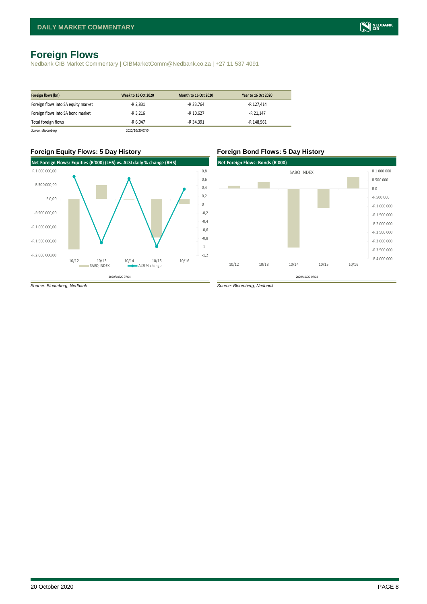# <span id="page-7-0"></span>**Foreign Flows**

Nedbank CIB Market Commentary | CIBMarketComm@Nedbank.co.za | +27 11 537 4091

| Foreign flows (bn)                  | <b>Week to 16 Oct 2020</b> | <b>Month to 16 Oct 2020</b> | Year to 16 Oct 2020 |
|-------------------------------------|----------------------------|-----------------------------|---------------------|
| Foreign flows into SA equity market | -R 2.831                   | -R 23.764                   | -R 127.414          |
| Foreign flows into SA bond market   | $-R$ 3.216                 | -R 10.627                   | -R 21.147           |
| Total foreign flows                 | $-R$ 6.047                 | -R 34.391                   | -R 148.561          |
| Source : Bloomberg                  | 2020/10/20 07:04           |                             |                     |

#### **Foreign Equity Flows: 5 Day History Foreign Bond Flows: 5 Day History**



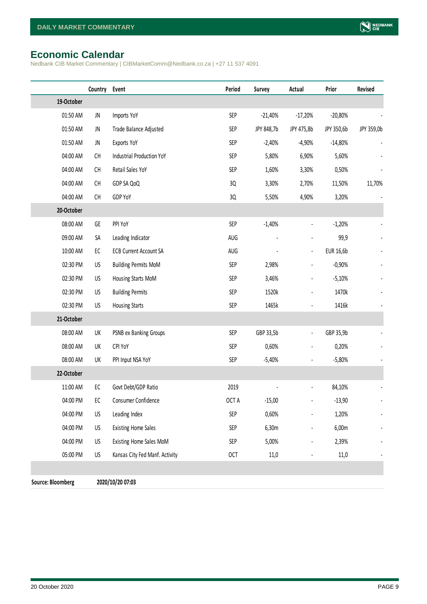# <span id="page-8-0"></span>**Economic Calendar**

Nedbank CIB Market Commentary | CIBMarketComm@Nedbank.co.za | +27 11 537 4091

|                   | Country    | Event                            | Period     | Survey     | Actual         | Prior      | Revised    |
|-------------------|------------|----------------------------------|------------|------------|----------------|------------|------------|
| 19-October        |            |                                  |            |            |                |            |            |
| 01:50 AM          | JN         | Imports YoY                      | SEP        | $-21,40%$  | $-17,20%$      | $-20,80%$  |            |
| 01:50 AM          | JN         | Trade Balance Adjusted           | SEP        | JPY 848,7b | JPY 475,8b     | JPY 350,6b | JPY 359,0b |
| 01:50 AM          | JN         | Exports YoY                      | SEP        | $-2,40%$   | $-4,90%$       | $-14,80%$  |            |
| 04:00 AM          | CH         | <b>Industrial Production YoY</b> | SEP        | 5,80%      | 6,90%          | 5,60%      |            |
| 04:00 AM          | CH         | Retail Sales YoY                 | SEP        | 1,60%      | 3,30%          | 0,50%      |            |
| 04:00 AM          | CH         | GDP SA QoQ                       | 3Q         | 3,30%      | 2,70%          | 11,50%     | 11,70%     |
| 04:00 AM          | CH         | GDP YoY                          | 3Q         | 5,50%      | 4,90%          | 3,20%      |            |
| 20-October        |            |                                  |            |            |                |            |            |
| 08:00 AM          | GE         | PPI YoY                          | SEP        | $-1,40%$   | $\blacksquare$ | $-1,20%$   |            |
| 09:00 AM          | SA         | Leading Indicator                | AUG        |            | $\overline{a}$ | 99,9       |            |
| 10:00 AM          | EC         | <b>ECB Current Account SA</b>    | AUG        |            | $\blacksquare$ | EUR 16,6b  |            |
| 02:30 PM          | US         | <b>Building Permits MoM</b>      | SEP        | 2,98%      | $\frac{1}{2}$  | $-0,90%$   |            |
| 02:30 PM          | US         | Housing Starts MoM               | SEP        | 3,46%      | $\frac{1}{2}$  | $-5,10%$   |            |
| 02:30 PM          | US         | <b>Building Permits</b>          | SEP        | 1520k      | $\blacksquare$ | 1470k      |            |
| 02:30 PM          | US         | <b>Housing Starts</b>            | <b>SEP</b> | 1465k      | $\blacksquare$ | 1416k      |            |
| 21-October        |            |                                  |            |            |                |            |            |
| 08:00 AM          | UK         | PSNB ex Banking Groups           | SEP        | GBP 33,5b  | $\blacksquare$ | GBP 35,9b  |            |
| 08:00 AM          | UK         | CPI YoY                          | SEP        | 0,60%      | -              | 0,20%      |            |
| 08:00 AM          | UK         | PPI Input NSA YoY                | SEP        | $-5,40%$   | $\frac{1}{2}$  | $-5,80%$   |            |
| 22-October        |            |                                  |            |            |                |            |            |
| 11:00 AM          | ${\sf EC}$ | Govt Debt/GDP Ratio              | 2019       |            |                | 84,10%     |            |
| 04:00 PM          | EC         | Consumer Confidence              | OCT A      | $-15,00$   |                | $-13,90$   |            |
| 04:00 PM          | US         | Leading Index                    | <b>SEP</b> | 0,60%      |                | 1,20%      |            |
| 04:00 PM          | US         | <b>Existing Home Sales</b>       | SEP        | 6,30m      |                | 6,00m      |            |
| 04:00 PM          | US         | Existing Home Sales MoM          | SEP        | 5,00%      | $\frac{1}{2}$  | 2,39%      |            |
| 05:00 PM          | US         | Kansas City Fed Manf. Activity   | <b>OCT</b> | 11,0       |                | 11,0       |            |
|                   |            |                                  |            |            |                |            |            |
| Source: Bloomberg |            | 2020/10/20 07:03                 |            |            |                |            |            |